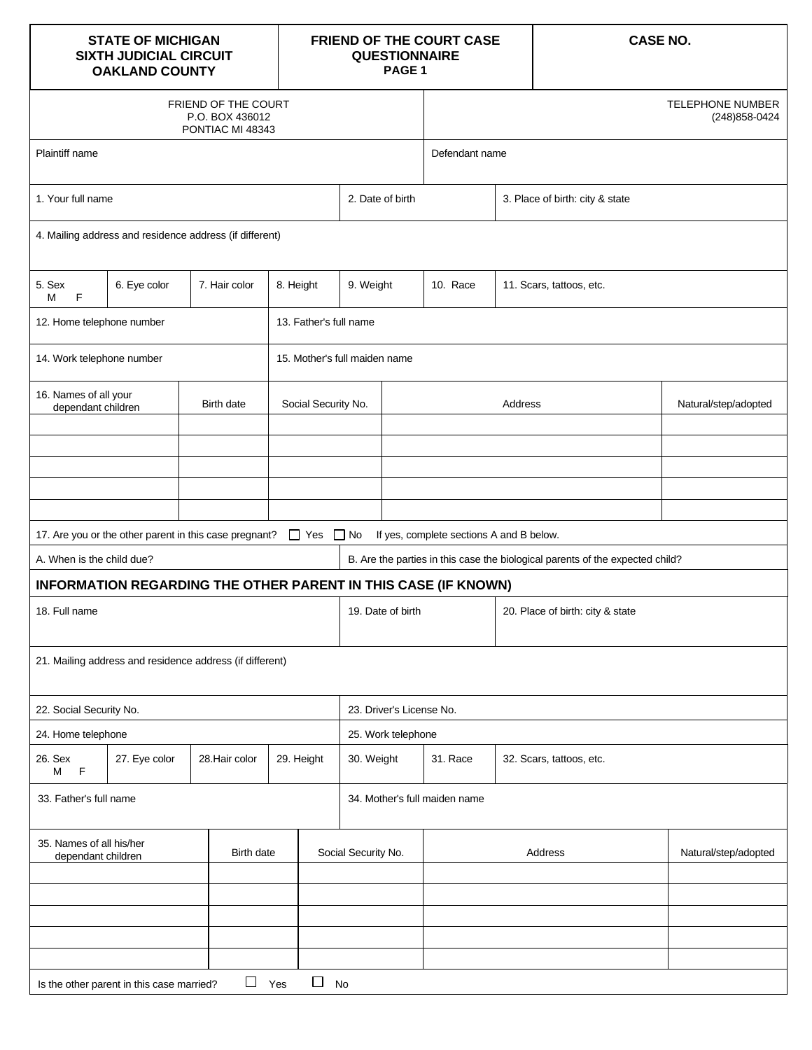| <b>STATE OF MICHIGAN</b><br><b>SIXTH JUDICIAL CIRCUIT</b><br><b>OAKLAND COUNTY</b> |                                                          |                                                            |                        | FRIEND OF THE COURT CASE<br><b>QUESTIONNAIRE</b><br>PAGE <sub>1</sub> |                                          |                | <b>CASE NO.</b>                                                               |                                           |  |  |
|------------------------------------------------------------------------------------|----------------------------------------------------------|------------------------------------------------------------|------------------------|-----------------------------------------------------------------------|------------------------------------------|----------------|-------------------------------------------------------------------------------|-------------------------------------------|--|--|
|                                                                                    |                                                          | FRIEND OF THE COURT<br>P.O. BOX 436012<br>PONTIAC MI 48343 |                        |                                                                       |                                          |                |                                                                               | <b>TELEPHONE NUMBER</b><br>(248) 858-0424 |  |  |
| Plaintiff name                                                                     |                                                          |                                                            |                        |                                                                       | Defendant name                           |                |                                                                               |                                           |  |  |
| 1. Your full name                                                                  |                                                          |                                                            |                        | 2. Date of birth                                                      | 3. Place of birth: city & state          |                |                                                                               |                                           |  |  |
| 4. Mailing address and residence address (if different)                            |                                                          |                                                            |                        |                                                                       |                                          |                |                                                                               |                                           |  |  |
| 5. Sex<br>6. Eye color<br>7. Hair color<br>8. Height<br>F<br>м                     |                                                          |                                                            | 9. Weight              | 10. Race                                                              | 11. Scars, tattoos, etc.                 |                |                                                                               |                                           |  |  |
| 12. Home telephone number                                                          |                                                          |                                                            | 13. Father's full name |                                                                       |                                          |                |                                                                               |                                           |  |  |
| 14. Work telephone number                                                          |                                                          |                                                            |                        | 15. Mother's full maiden name                                         |                                          |                |                                                                               |                                           |  |  |
| 16. Names of all your<br>Birth date<br>dependant children                          |                                                          |                                                            | Social Security No.    | Address                                                               |                                          |                |                                                                               | Natural/step/adopted                      |  |  |
|                                                                                    |                                                          |                                                            |                        |                                                                       |                                          |                |                                                                               |                                           |  |  |
|                                                                                    |                                                          |                                                            |                        |                                                                       |                                          |                |                                                                               |                                           |  |  |
|                                                                                    | 17. Are you or the other parent in this case pregnant?   |                                                            | $\Box$ Yes $\Box$ No   |                                                                       | If yes, complete sections A and B below. |                |                                                                               |                                           |  |  |
| A. When is the child due?                                                          |                                                          |                                                            |                        |                                                                       |                                          |                | B. Are the parties in this case the biological parents of the expected child? |                                           |  |  |
|                                                                                    |                                                          |                                                            |                        | INFORMATION REGARDING THE OTHER PARENT IN THIS CASE (IF KNOWN)        |                                          |                |                                                                               |                                           |  |  |
| 18. Full name                                                                      |                                                          |                                                            |                        | 19. Date of birth<br>20. Place of birth: city & state                 |                                          |                |                                                                               |                                           |  |  |
|                                                                                    | 21. Mailing address and residence address (if different) |                                                            |                        |                                                                       |                                          |                |                                                                               |                                           |  |  |
| 22. Social Security No.                                                            |                                                          |                                                            |                        | 23. Driver's License No.                                              |                                          |                |                                                                               |                                           |  |  |
| 24. Home telephone                                                                 |                                                          |                                                            |                        | 25. Work telephone                                                    |                                          |                |                                                                               |                                           |  |  |
| 26. Sex<br>M F                                                                     | 27. Eye color                                            | 28. Hair color                                             | 29. Height             | 30. Weight                                                            | 31. Race                                 |                | 32. Scars, tattoos, etc.                                                      |                                           |  |  |
| 33. Father's full name                                                             |                                                          |                                                            |                        | 34. Mother's full maiden name                                         |                                          |                |                                                                               |                                           |  |  |
| 35. Names of all his/her<br>Birth date<br>dependant children                       |                                                          |                                                            | Social Security No.    |                                                                       |                                          | <b>Address</b> | Natural/step/adopted                                                          |                                           |  |  |
|                                                                                    |                                                          |                                                            |                        |                                                                       |                                          |                |                                                                               |                                           |  |  |
|                                                                                    |                                                          |                                                            |                        |                                                                       |                                          |                |                                                                               |                                           |  |  |
|                                                                                    | Is the other parent in this case married?                | $\Box$ Yes                                                 | $\Box$ No              |                                                                       |                                          |                |                                                                               |                                           |  |  |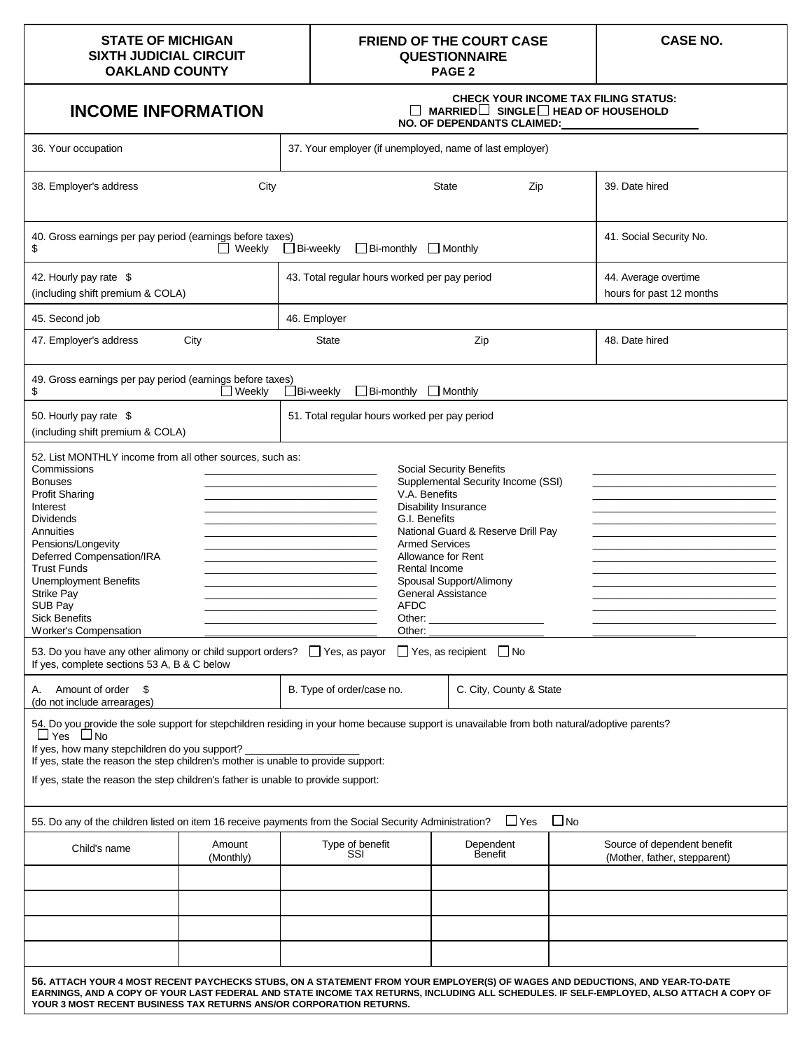#### **STATE OF MICHIGAN SIXTH JUDICIAL CIRCUIT OAKLAND COUNTY**

#### **FRIEND OF THE COURT CASE QUESTIONNAIRE PAGE 2**

## **INCOME INFORMATION**

#### **CHECK YOUR INCOME TAX FILING STATUS: MARRIED∐ SINGLE∐ HEAD OF HOUSEHOLD NO. OF DEPENDANTS CLAIMED:**

| 36. Your occupation                                                                                                                                                                                                                                                                                                                                                                                                                                                                                                                                                                                                                                                                                                                                                                                                                                                                                                                                                                                                                                                                                                                                                                                                                                                                                                                                                                                                                                                                                                                                                                                                                                                                                                                                                                                                                                                                                                                                    | 37. Your employer (if unemployed, name of last employer) |                                               |  |                      |                |                                                             |  |  |  |  |
|--------------------------------------------------------------------------------------------------------------------------------------------------------------------------------------------------------------------------------------------------------------------------------------------------------------------------------------------------------------------------------------------------------------------------------------------------------------------------------------------------------------------------------------------------------------------------------------------------------------------------------------------------------------------------------------------------------------------------------------------------------------------------------------------------------------------------------------------------------------------------------------------------------------------------------------------------------------------------------------------------------------------------------------------------------------------------------------------------------------------------------------------------------------------------------------------------------------------------------------------------------------------------------------------------------------------------------------------------------------------------------------------------------------------------------------------------------------------------------------------------------------------------------------------------------------------------------------------------------------------------------------------------------------------------------------------------------------------------------------------------------------------------------------------------------------------------------------------------------------------------------------------------------------------------------------------------------|----------------------------------------------------------|-----------------------------------------------|--|----------------------|----------------|-------------------------------------------------------------|--|--|--|--|
| 38. Employer's address                                                                                                                                                                                                                                                                                                                                                                                                                                                                                                                                                                                                                                                                                                                                                                                                                                                                                                                                                                                                                                                                                                                                                                                                                                                                                                                                                                                                                                                                                                                                                                                                                                                                                                                                                                                                                                                                                                                                 | City<br>State<br>Zip                                     |                                               |  |                      | 39. Date hired |                                                             |  |  |  |  |
| 40. Gross earnings per pay period (earnings before taxes)<br>41. Social Security No.<br>$\Box$ Bi-weekly<br>$\Box$ Bi-monthly<br>$\Box$ Monthly<br>\$<br>$\Box$ Weekly                                                                                                                                                                                                                                                                                                                                                                                                                                                                                                                                                                                                                                                                                                                                                                                                                                                                                                                                                                                                                                                                                                                                                                                                                                                                                                                                                                                                                                                                                                                                                                                                                                                                                                                                                                                 |                                                          |                                               |  |                      |                |                                                             |  |  |  |  |
| 42. Hourly pay rate \$<br>(including shift premium & COLA)                                                                                                                                                                                                                                                                                                                                                                                                                                                                                                                                                                                                                                                                                                                                                                                                                                                                                                                                                                                                                                                                                                                                                                                                                                                                                                                                                                                                                                                                                                                                                                                                                                                                                                                                                                                                                                                                                             |                                                          | 43. Total regular hours worked per pay period |  |                      |                | 44. Average overtime<br>hours for past 12 months            |  |  |  |  |
| 45. Second job                                                                                                                                                                                                                                                                                                                                                                                                                                                                                                                                                                                                                                                                                                                                                                                                                                                                                                                                                                                                                                                                                                                                                                                                                                                                                                                                                                                                                                                                                                                                                                                                                                                                                                                                                                                                                                                                                                                                         |                                                          | 46. Employer                                  |  |                      |                |                                                             |  |  |  |  |
| 47. Employer's address                                                                                                                                                                                                                                                                                                                                                                                                                                                                                                                                                                                                                                                                                                                                                                                                                                                                                                                                                                                                                                                                                                                                                                                                                                                                                                                                                                                                                                                                                                                                                                                                                                                                                                                                                                                                                                                                                                                                 | City                                                     | <b>State</b><br>Zip                           |  |                      |                | 48. Date hired                                              |  |  |  |  |
| 49. Gross earnings per pay period (earnings before taxes)<br>Weekly<br>$\Box$ Bi-weekly<br>$\Box$ Monthly<br>\$<br>$\Box$ Bi-monthly                                                                                                                                                                                                                                                                                                                                                                                                                                                                                                                                                                                                                                                                                                                                                                                                                                                                                                                                                                                                                                                                                                                                                                                                                                                                                                                                                                                                                                                                                                                                                                                                                                                                                                                                                                                                                   |                                                          |                                               |  |                      |                |                                                             |  |  |  |  |
| 50. Hourly pay rate \$                                                                                                                                                                                                                                                                                                                                                                                                                                                                                                                                                                                                                                                                                                                                                                                                                                                                                                                                                                                                                                                                                                                                                                                                                                                                                                                                                                                                                                                                                                                                                                                                                                                                                                                                                                                                                                                                                                                                 |                                                          | 51. Total regular hours worked per pay period |  |                      |                |                                                             |  |  |  |  |
| (including shift premium & COLA)<br>52. List MONTHLY income from all other sources, such as:<br>Commissions<br><b>Social Security Benefits</b><br>the control of the control of the control of the<br>Supplemental Security Income (SSI)<br><b>Bonuses</b><br>V.A. Benefits<br><b>Profit Sharing</b><br>Interest<br><b>Disability Insurance</b><br><u> 1989 - Johann John Harry, mars and de final and de final and design and design and design and design and design and design and design and design and design and design and design and design and design and design and desig</u><br><b>Dividends</b><br>G.I. Benefits<br><u> 1989 - Johann Barbara, martxa alemaniar a</u><br>National Guard & Reserve Drill Pay<br>Annuities<br>Pensions/Longevity<br><b>Armed Services</b><br>Deferred Compensation/IRA<br>Allowance for Rent<br><b>Trust Funds</b><br>Rental Income<br><b>Unemployment Benefits</b><br>Spousal Support/Alimony<br>the control of the control of the control of the control of the control of<br><b>General Assistance</b><br><b>Strike Pay</b><br>SUB Pay<br><b>AFDC</b><br>the control of the control of the control of the control of the control of<br><b>Sick Benefits</b><br><b>Worker's Compensation</b><br>Other:<br>53. Do you have any other alimony or child support orders?<br>T Yes, as payor<br>$\Box$ Yes, as recipient $\Box$ No<br>If yes, complete sections 53 A, B & C below<br>C. City, County & State<br>Amount of order<br>B. Type of order/case no.<br>S.<br>А.<br>(do not include arrearages)<br>54. Do you provide the sole support for stepchildren residing in your home because support is unavailable from both natural/adoptive parents?<br>$\sqcup$ Yes $\sqcup$ No<br>If yes, how many stepchildren do you support?<br>If yes, state the reason the step children's mother is unable to provide support:<br>If yes, state the reason the step children's father is unable to provide support: |                                                          |                                               |  |                      |                |                                                             |  |  |  |  |
| $\Box$ No<br>$\Box$ Yes<br>55. Do any of the children listed on item 16 receive payments from the Social Security Administration?                                                                                                                                                                                                                                                                                                                                                                                                                                                                                                                                                                                                                                                                                                                                                                                                                                                                                                                                                                                                                                                                                                                                                                                                                                                                                                                                                                                                                                                                                                                                                                                                                                                                                                                                                                                                                      |                                                          |                                               |  |                      |                |                                                             |  |  |  |  |
| Child's name                                                                                                                                                                                                                                                                                                                                                                                                                                                                                                                                                                                                                                                                                                                                                                                                                                                                                                                                                                                                                                                                                                                                                                                                                                                                                                                                                                                                                                                                                                                                                                                                                                                                                                                                                                                                                                                                                                                                           | Amount<br>(Monthly)                                      | Type of benefit<br>SSI                        |  | Dependent<br>Benefit |                | Source of dependent benefit<br>(Mother, father, stepparent) |  |  |  |  |
|                                                                                                                                                                                                                                                                                                                                                                                                                                                                                                                                                                                                                                                                                                                                                                                                                                                                                                                                                                                                                                                                                                                                                                                                                                                                                                                                                                                                                                                                                                                                                                                                                                                                                                                                                                                                                                                                                                                                                        |                                                          |                                               |  |                      |                |                                                             |  |  |  |  |
| 56. ATTACH YOUR 4 MOST RECENT PAYCHECKS STUBS, ON A STATEMENT FROM YOUR EMPLOYER(S) OF WAGES AND DEDUCTIONS, AND YEAR-TO-DATE<br>EARNINGS, AND A COPY OF YOUR LAST FEDERAL AND STATE INCOME TAX RETURNS, INCLUDING ALL SCHEDULES. IF SELF-EMPLOYED, ALSO ATTACH A COPY OF<br>YOUR 3 MOST RECENT BUSINESS TAX RETURNS ANS/OR CORPORATION RETURNS.                                                                                                                                                                                                                                                                                                                                                                                                                                                                                                                                                                                                                                                                                                                                                                                                                                                                                                                                                                                                                                                                                                                                                                                                                                                                                                                                                                                                                                                                                                                                                                                                       |                                                          |                                               |  |                      |                |                                                             |  |  |  |  |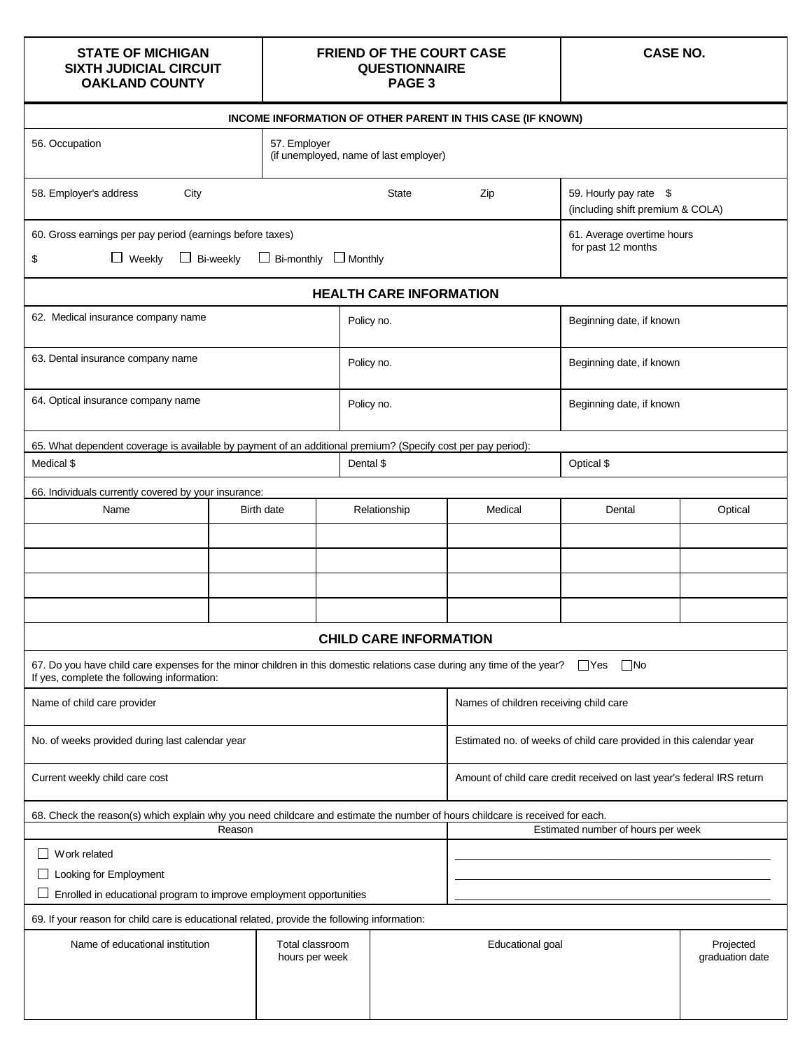### **STATE OF MICHIGAN SIXTH JUDICIAL CIRCUIT OAKLAND COUNTY**

#### **FRIEND OF THE COURT CASE QUESTIONNAIRE PAGE 3**

**CASE NO.**

| INCOME INFORMATION OF OTHER PARENT IN THIS CASE (IF KNOWN)                                                                                                                    |           |                                                                     |                                                                   |                                                  |                                                  |                          |         |  |  |  |
|-------------------------------------------------------------------------------------------------------------------------------------------------------------------------------|-----------|---------------------------------------------------------------------|-------------------------------------------------------------------|--------------------------------------------------|--------------------------------------------------|--------------------------|---------|--|--|--|
| 56. Occupation<br>57. Employer                                                                                                                                                |           |                                                                     |                                                                   | (if unemployed, name of last employer)           |                                                  |                          |         |  |  |  |
| 58. Employer's address<br>City                                                                                                                                                |           | State                                                               | 59. Hourly pay rate \$<br>Zip<br>(including shift premium & COLA) |                                                  |                                                  |                          |         |  |  |  |
| 60. Gross earnings per pay period (earnings before taxes)                                                                                                                     |           |                                                                     |                                                                   |                                                  | 61. Average overtime hours<br>for past 12 months |                          |         |  |  |  |
| $\Box$ Weekly<br>ப<br>\$                                                                                                                                                      | Bi-weekly | $\Box$ Bi-monthly                                                   | $\Box$ Monthly                                                    |                                                  |                                                  |                          |         |  |  |  |
|                                                                                                                                                                               |           |                                                                     |                                                                   | <b>HEALTH CARE INFORMATION</b>                   |                                                  |                          |         |  |  |  |
| 62. Medical insurance company name                                                                                                                                            |           |                                                                     |                                                                   | Policy no.                                       | Beginning date, if known                         |                          |         |  |  |  |
| 63. Dental insurance company name                                                                                                                                             |           |                                                                     |                                                                   | Policy no.                                       |                                                  | Beginning date, if known |         |  |  |  |
| 64. Optical insurance company name                                                                                                                                            |           |                                                                     |                                                                   | Policy no.                                       | Beginning date, if known                         |                          |         |  |  |  |
| 65. What dependent coverage is available by payment of an additional premium? (Specify cost per pay period):                                                                  |           |                                                                     |                                                                   |                                                  |                                                  |                          |         |  |  |  |
| Medical \$                                                                                                                                                                    |           |                                                                     |                                                                   | Dental \$                                        | Optical \$                                       |                          |         |  |  |  |
| 66. Individuals currently covered by your insurance:                                                                                                                          |           |                                                                     |                                                                   |                                                  |                                                  |                          |         |  |  |  |
| Name                                                                                                                                                                          |           | Birth date                                                          |                                                                   | Relationship                                     | Medical                                          | Dental                   | Optical |  |  |  |
|                                                                                                                                                                               |           |                                                                     |                                                                   |                                                  |                                                  |                          |         |  |  |  |
|                                                                                                                                                                               |           |                                                                     |                                                                   |                                                  |                                                  |                          |         |  |  |  |
|                                                                                                                                                                               |           |                                                                     |                                                                   |                                                  |                                                  |                          |         |  |  |  |
|                                                                                                                                                                               |           |                                                                     |                                                                   |                                                  |                                                  |                          |         |  |  |  |
|                                                                                                                                                                               |           |                                                                     |                                                                   | <b>CHILD CARE INFORMATION</b>                    |                                                  |                          |         |  |  |  |
| 67. Do you have child care expenses for the minor children in this domestic relations case during any time of the year?<br>If yes, complete the following information:        |           |                                                                     |                                                                   |                                                  |                                                  | $\Box$ No<br>$\Box$ Yes  |         |  |  |  |
| Name of child care provider                                                                                                                                                   |           | Names of children receiving child care                              |                                                                   |                                                  |                                                  |                          |         |  |  |  |
| No. of weeks provided during last calendar year                                                                                                                               |           | Estimated no. of weeks of child care provided in this calendar year |                                                                   |                                                  |                                                  |                          |         |  |  |  |
| Current weekly child care cost<br>Amount of child care credit received on last year's federal IRS return                                                                      |           |                                                                     |                                                                   |                                                  |                                                  |                          |         |  |  |  |
| 68. Check the reason(s) which explain why you need childcare and estimate the number of hours childcare is received for each.<br>Estimated number of hours per week<br>Reason |           |                                                                     |                                                                   |                                                  |                                                  |                          |         |  |  |  |
| Work related                                                                                                                                                                  |           |                                                                     |                                                                   |                                                  |                                                  |                          |         |  |  |  |
| Looking for Employment                                                                                                                                                        |           |                                                                     |                                                                   |                                                  |                                                  |                          |         |  |  |  |
| Enrolled in educational program to improve employment opportunities                                                                                                           |           |                                                                     |                                                                   |                                                  |                                                  |                          |         |  |  |  |
| 69. If your reason for child care is educational related, provide the following information:                                                                                  |           |                                                                     |                                                                   |                                                  |                                                  |                          |         |  |  |  |
| Total classroom<br>Name of educational institution<br>hours per week                                                                                                          |           |                                                                     |                                                                   | Educational goal<br>Projected<br>graduation date |                                                  |                          |         |  |  |  |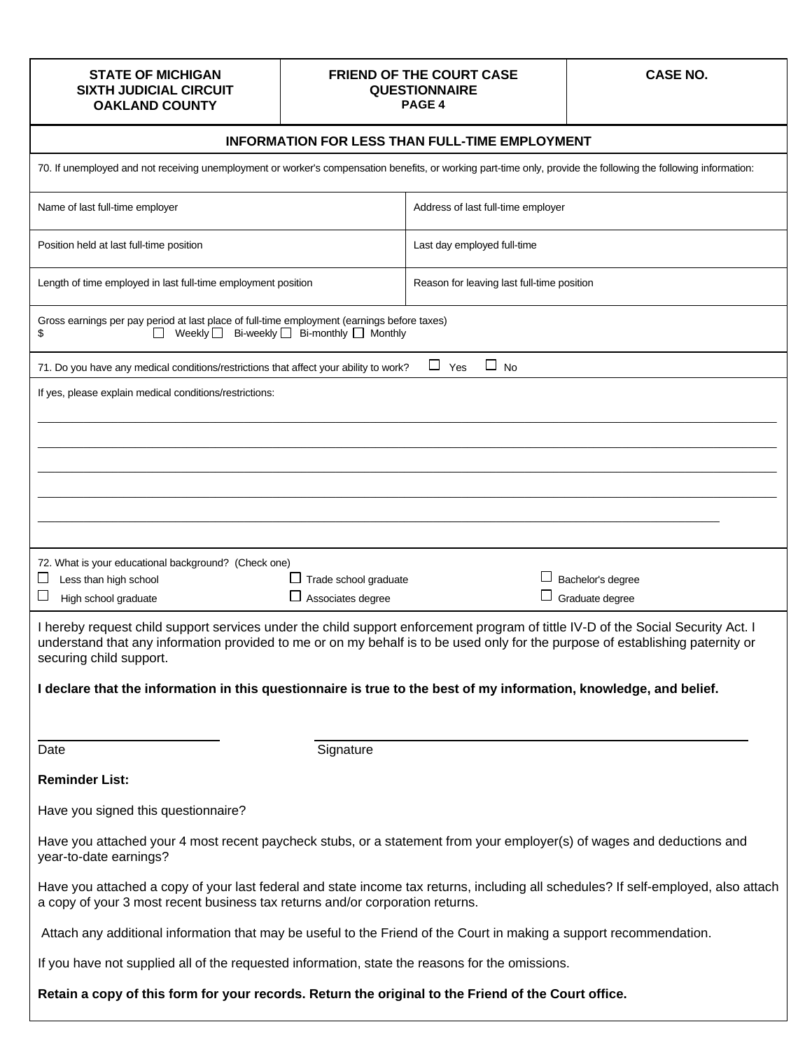#### **STATE OF MICHIGAN SIXTH JUDICIAL CIRCUIT OAKLAND COUNTY**

#### **FRIEND OF THE COURT CASE QUESTIONNAIRE PAGE 4**

**CASE NO.**

| <b>INFORMATION FOR LESS THAN FULL-TIME EMPLOYMENT</b>                                                                                                                                                                                                                                                                                                                |                                            |                                            |                   |  |  |  |  |
|----------------------------------------------------------------------------------------------------------------------------------------------------------------------------------------------------------------------------------------------------------------------------------------------------------------------------------------------------------------------|--------------------------------------------|--------------------------------------------|-------------------|--|--|--|--|
| 70. If unemployed and not receiving unemployment or worker's compensation benefits, or working part-time only, provide the following the following information:                                                                                                                                                                                                      |                                            |                                            |                   |  |  |  |  |
| Name of last full-time employer                                                                                                                                                                                                                                                                                                                                      |                                            | Address of last full-time employer         |                   |  |  |  |  |
| Position held at last full-time position                                                                                                                                                                                                                                                                                                                             |                                            | Last day employed full-time                |                   |  |  |  |  |
| Length of time employed in last full-time employment position                                                                                                                                                                                                                                                                                                        |                                            | Reason for leaving last full-time position |                   |  |  |  |  |
| Gross earnings per pay period at last place of full-time employment (earnings before taxes)<br>Weekly $\Box$<br>\$                                                                                                                                                                                                                                                   | Bi-weekly $\Box$ Bi-monthly $\Box$ Monthly |                                            |                   |  |  |  |  |
| 71. Do you have any medical conditions/restrictions that affect your ability to work?                                                                                                                                                                                                                                                                                |                                            | $\Box$ No<br>$\Box$ Yes                    |                   |  |  |  |  |
| If yes, please explain medical conditions/restrictions:                                                                                                                                                                                                                                                                                                              |                                            |                                            |                   |  |  |  |  |
|                                                                                                                                                                                                                                                                                                                                                                      |                                            |                                            |                   |  |  |  |  |
|                                                                                                                                                                                                                                                                                                                                                                      |                                            |                                            |                   |  |  |  |  |
|                                                                                                                                                                                                                                                                                                                                                                      |                                            |                                            |                   |  |  |  |  |
| 72. What is your educational background? (Check one)                                                                                                                                                                                                                                                                                                                 |                                            |                                            |                   |  |  |  |  |
| Less than high school<br>ப<br>⊔                                                                                                                                                                                                                                                                                                                                      | □ Trade school graduate                    |                                            | Bachelor's degree |  |  |  |  |
| $\Box$ Associates degree<br>Graduate degree<br>High school graduate<br>I hereby request child support services under the child support enforcement program of tittle IV-D of the Social Security Act. I<br>understand that any information provided to me or on my behalf is to be used only for the purpose of establishing paternity or<br>securing child support. |                                            |                                            |                   |  |  |  |  |
| I declare that the information in this questionnaire is true to the best of my information, knowledge, and belief.                                                                                                                                                                                                                                                   |                                            |                                            |                   |  |  |  |  |
| Date                                                                                                                                                                                                                                                                                                                                                                 | Signature                                  |                                            |                   |  |  |  |  |
| <b>Reminder List:</b>                                                                                                                                                                                                                                                                                                                                                |                                            |                                            |                   |  |  |  |  |
| Have you signed this questionnaire?                                                                                                                                                                                                                                                                                                                                  |                                            |                                            |                   |  |  |  |  |
| Have you attached your 4 most recent paycheck stubs, or a statement from your employer(s) of wages and deductions and<br>year-to-date earnings?                                                                                                                                                                                                                      |                                            |                                            |                   |  |  |  |  |
| Have you attached a copy of your last federal and state income tax returns, including all schedules? If self-employed, also attach<br>a copy of your 3 most recent business tax returns and/or corporation returns.                                                                                                                                                  |                                            |                                            |                   |  |  |  |  |
| Attach any additional information that may be useful to the Friend of the Court in making a support recommendation.                                                                                                                                                                                                                                                  |                                            |                                            |                   |  |  |  |  |
| If you have not supplied all of the requested information, state the reasons for the omissions.                                                                                                                                                                                                                                                                      |                                            |                                            |                   |  |  |  |  |
| Retain a copy of this form for your records. Return the original to the Friend of the Court office.                                                                                                                                                                                                                                                                  |                                            |                                            |                   |  |  |  |  |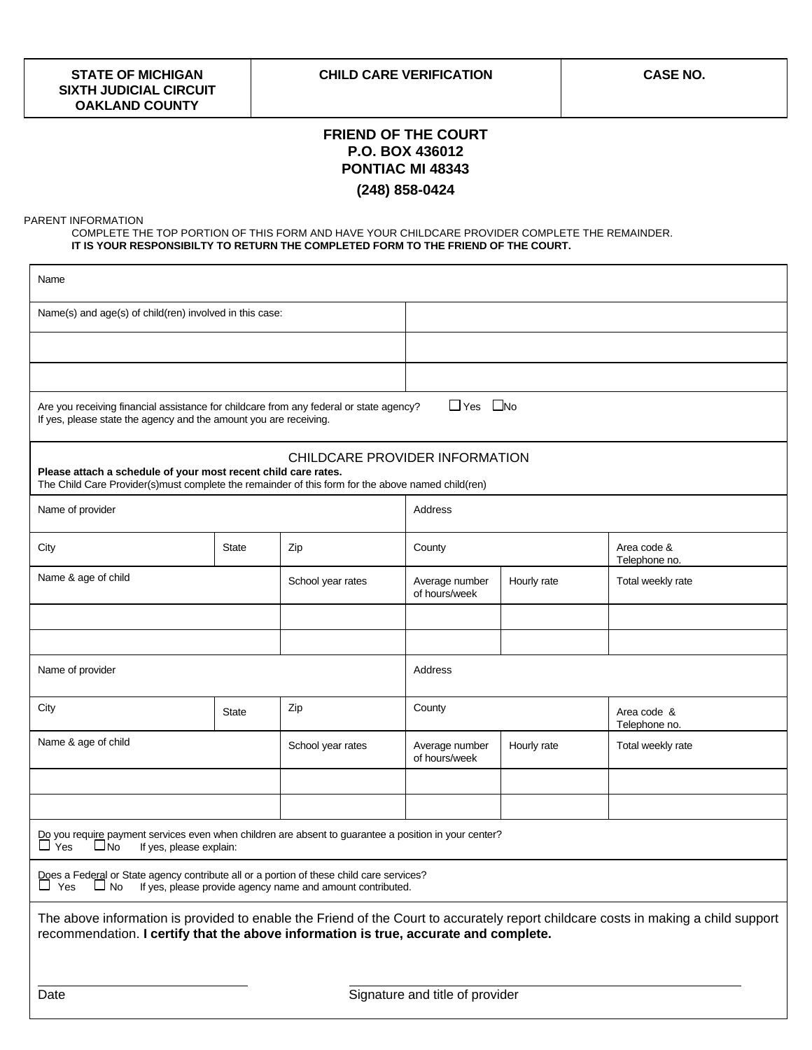## **FRIEND OF THE COURT P.O. BOX 436012 PONTIAC MI 48343 (248) 858-0424**

PARENT INFORMATION

COMPLETE THE TOP PORTION OF THIS FORM AND HAVE YOUR CHILDCARE PROVIDER COMPLETE THE REMAINDER. **IT IS YOUR RESPONSIBILTY TO RETURN THE COMPLETED FORM TO THE FRIEND OF THE COURT.**

| Name                                                                                                                                                                |                         |                                                            |                                 |             |                                                                                                                                    |  |  |
|---------------------------------------------------------------------------------------------------------------------------------------------------------------------|-------------------------|------------------------------------------------------------|---------------------------------|-------------|------------------------------------------------------------------------------------------------------------------------------------|--|--|
| Name(s) and age(s) of child(ren) involved in this case:                                                                                                             |                         |                                                            |                                 |             |                                                                                                                                    |  |  |
|                                                                                                                                                                     |                         |                                                            |                                 |             |                                                                                                                                    |  |  |
|                                                                                                                                                                     |                         |                                                            |                                 |             |                                                                                                                                    |  |  |
| Are you receiving financial assistance for childcare from any federal or state agency?<br>If yes, please state the agency and the amount you are receiving.         |                         |                                                            | $\Box$ Yes $\Box$ No            |             |                                                                                                                                    |  |  |
| Please attach a schedule of your most recent child care rates.<br>The Child Care Provider(s)must complete the remainder of this form for the above named child(ren) |                         |                                                            | CHILDCARE PROVIDER INFORMATION  |             |                                                                                                                                    |  |  |
| Name of provider                                                                                                                                                    |                         |                                                            | Address                         |             |                                                                                                                                    |  |  |
| City                                                                                                                                                                | State                   |                                                            | County                          |             | Area code &<br>Telephone no.                                                                                                       |  |  |
| Name & age of child                                                                                                                                                 |                         | School year rates                                          | Average number<br>of hours/week | Hourly rate | Total weekly rate                                                                                                                  |  |  |
|                                                                                                                                                                     |                         |                                                            |                                 |             |                                                                                                                                    |  |  |
| Name of provider                                                                                                                                                    |                         |                                                            | Address                         |             |                                                                                                                                    |  |  |
| City                                                                                                                                                                | Zip<br><b>State</b>     |                                                            | County                          |             | Area code &<br>Telephone no.                                                                                                       |  |  |
| Name & age of child                                                                                                                                                 |                         | School year rates                                          | Average number<br>of hours/week | Hourly rate | Total weekly rate                                                                                                                  |  |  |
|                                                                                                                                                                     |                         |                                                            |                                 |             |                                                                                                                                    |  |  |
| Do you require payment services even when children are absent to guarantee a position in your center?<br>$\sqcup$ Yes<br>$\Box$ No                                  | If yes, please explain: |                                                            |                                 |             |                                                                                                                                    |  |  |
| Does a Federal or State agency contribute all or a portion of these child care services?<br>$\Box$ No<br>$\Box$ Yes                                                 |                         | If yes, please provide agency name and amount contributed. |                                 |             |                                                                                                                                    |  |  |
| recommendation. I certify that the above information is true, accurate and complete.                                                                                |                         |                                                            |                                 |             | The above information is provided to enable the Friend of the Court to accurately report childcare costs in making a child support |  |  |

Date **Signature and title of provider**